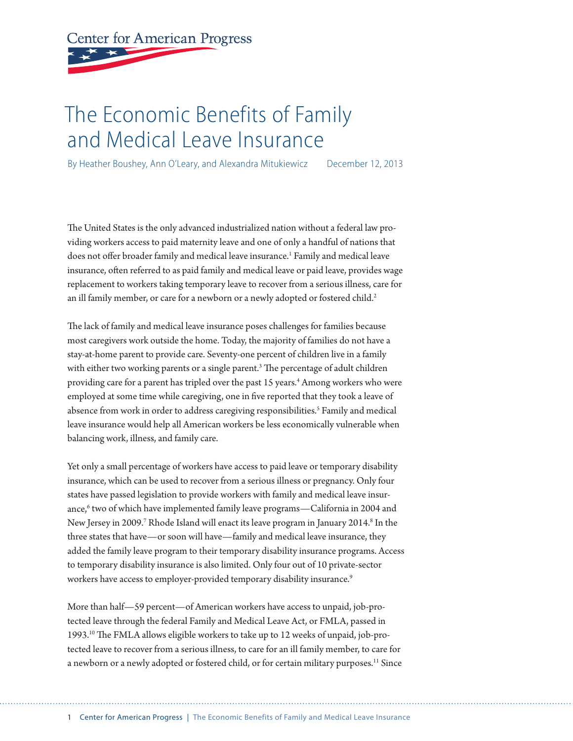# **Center for American Progress**

## The Economic Benefits of Family and Medical Leave Insurance

By Heather Boushey, Ann O'Leary, and Alexandra Mitukiewicz December 12, 2013

The United States is the only advanced industrialized nation without a federal law providing workers access to paid maternity leave and one of only a handful of nations that does not offer broader family and medical leave insurance.<sup>1</sup> Family and medical leave insurance, often referred to as paid family and medical leave or paid leave, provides wage replacement to workers taking temporary leave to recover from a serious illness, care for an ill family member, or care for a newborn or a newly adopted or fostered child.<sup>2</sup>

The lack of family and medical leave insurance poses challenges for families because most caregivers work outside the home. Today, the majority of families do not have a stay-at-home parent to provide care. Seventy-one percent of children live in a family with either two working parents or a single parent.<sup>3</sup> The percentage of adult children providing care for a parent has tripled over the past 15 years.<sup>4</sup> Among workers who were employed at some time while caregiving, one in five reported that they took a leave of absence from work in order to address caregiving responsibilities.<sup>5</sup> Family and medical leave insurance would help all American workers be less economically vulnerable when balancing work, illness, and family care.

Yet only a small percentage of workers have access to paid leave or temporary disability insurance, which can be used to recover from a serious illness or pregnancy. Only four states have passed legislation to provide workers with family and medical leave insurance,<sup>6</sup> two of which have implemented family leave programs—California in 2004 and New Jersey in 2009.<sup>7</sup> Rhode Island will enact its leave program in January 2014.<sup>8</sup> In the three states that have—or soon will have—family and medical leave insurance, they added the family leave program to their temporary disability insurance programs. Access to temporary disability insurance is also limited. Only four out of 10 private-sector workers have access to employer-provided temporary disability insurance.<sup>9</sup>

More than half—59 percent—of American workers have access to unpaid, job-protected leave through the federal Family and Medical Leave Act, or FMLA, passed in 1993.10 The FMLA allows eligible workers to take up to 12 weeks of unpaid, job-protected leave to recover from a serious illness, to care for an ill family member, to care for a newborn or a newly adopted or fostered child, or for certain military purposes.<sup>11</sup> Since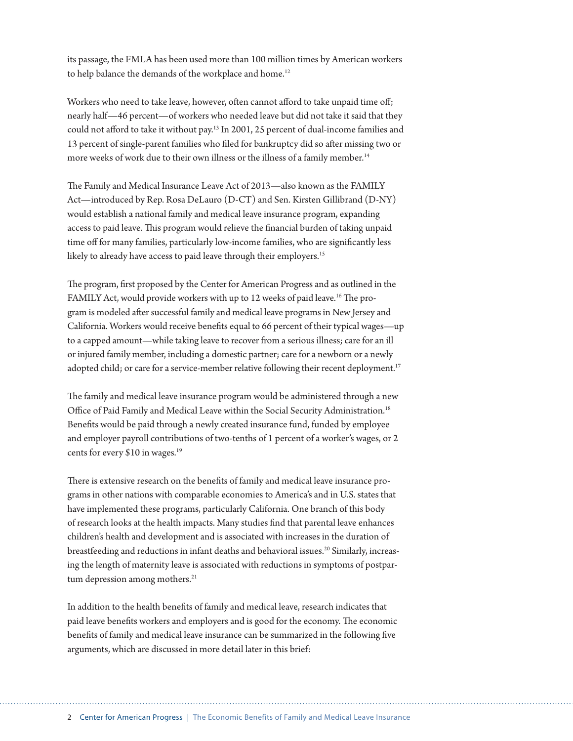its passage, the FMLA has been used more than 100 million times by American workers to help balance the demands of the workplace and home.<sup>12</sup>

Workers who need to take leave, however, often cannot afford to take unpaid time off; nearly half—46 percent—of workers who needed leave but did not take it said that they could not afford to take it without pay.13 In 2001, 25 percent of dual-income families and 13 percent of single-parent families who filed for bankruptcy did so after missing two or more weeks of work due to their own illness or the illness of a family member.<sup>14</sup>

The Family and Medical Insurance Leave Act of 2013—also known as the FAMILY Act—introduced by Rep. Rosa DeLauro (D-CT) and Sen. Kirsten Gillibrand (D-NY) would establish a national family and medical leave insurance program, expanding access to paid leave. This program would relieve the financial burden of taking unpaid time off for many families, particularly low-income families, who are significantly less likely to already have access to paid leave through their employers.<sup>15</sup>

The program, first proposed by the Center for American Progress and as outlined in the FAMILY Act, would provide workers with up to 12 weeks of paid leave.<sup>16</sup> The program is modeled after successful family and medical leave programs in New Jersey and California. Workers would receive benefits equal to 66 percent of their typical wages—up to a capped amount—while taking leave to recover from a serious illness; care for an ill or injured family member, including a domestic partner; care for a newborn or a newly adopted child; or care for a service-member relative following their recent deployment.<sup>17</sup>

The family and medical leave insurance program would be administered through a new Office of Paid Family and Medical Leave within the Social Security Administration.<sup>18</sup> Benefits would be paid through a newly created insurance fund, funded by employee and employer payroll contributions of two-tenths of 1 percent of a worker's wages, or 2 cents for every \$10 in wages.<sup>19</sup>

There is extensive research on the benefits of family and medical leave insurance programs in other nations with comparable economies to America's and in U.S. states that have implemented these programs, particularly California. One branch of this body of research looks at the health impacts. Many studies find that parental leave enhances children's health and development and is associated with increases in the duration of breastfeeding and reductions in infant deaths and behavioral issues.<sup>20</sup> Similarly, increasing the length of maternity leave is associated with reductions in symptoms of postpartum depression among mothers.<sup>21</sup>

In addition to the health benefits of family and medical leave, research indicates that paid leave benefits workers and employers and is good for the economy. The economic benefits of family and medical leave insurance can be summarized in the following five arguments, which are discussed in more detail later in this brief: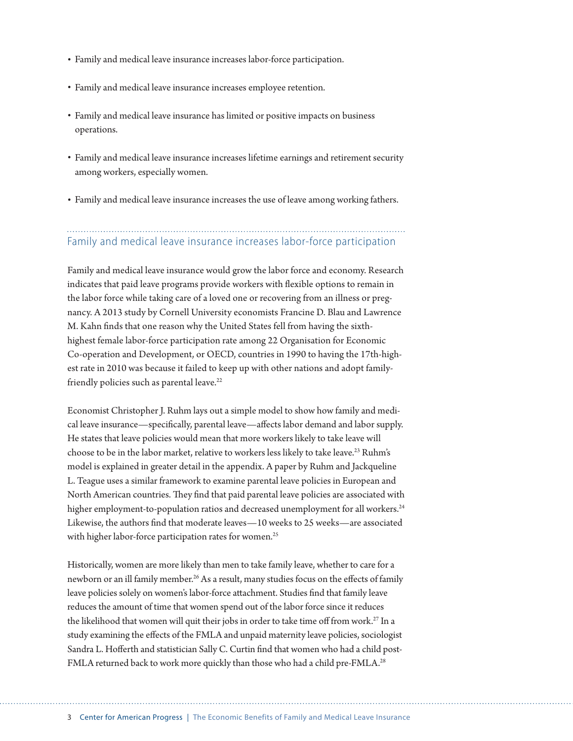- Family and medical leave insurance increases labor-force participation.
- Family and medical leave insurance increases employee retention.
- Family and medical leave insurance has limited or positive impacts on business operations.
- Family and medical leave insurance increases lifetime earnings and retirement security among workers, especially women.
- Family and medical leave insurance increases the use of leave among working fathers.

## Family and medical leave insurance increases labor-force participation

Family and medical leave insurance would grow the labor force and economy. Research indicates that paid leave programs provide workers with flexible options to remain in the labor force while taking care of a loved one or recovering from an illness or pregnancy. A 2013 study by Cornell University economists Francine D. Blau and Lawrence M. Kahn finds that one reason why the United States fell from having the sixthhighest female labor-force participation rate among 22 Organisation for Economic Co-operation and Development, or OECD, countries in 1990 to having the 17th-highest rate in 2010 was because it failed to keep up with other nations and adopt familyfriendly policies such as parental leave.<sup>22</sup>

Economist Christopher J. Ruhm lays out a simple model to show how family and medical leave insurance—specifically, parental leave—affects labor demand and labor supply. He states that leave policies would mean that more workers likely to take leave will choose to be in the labor market, relative to workers less likely to take leave.23 Ruhm's model is explained in greater detail in the appendix. A paper by Ruhm and Jackqueline L. Teague uses a similar framework to examine parental leave policies in European and North American countries. They find that paid parental leave policies are associated with higher employment-to-population ratios and decreased unemployment for all workers.<sup>24</sup> Likewise, the authors find that moderate leaves—10 weeks to 25 weeks—are associated with higher labor-force participation rates for women.<sup>25</sup>

Historically, women are more likely than men to take family leave, whether to care for a newborn or an ill family member.<sup>26</sup> As a result, many studies focus on the effects of family leave policies solely on women's labor-force attachment. Studies find that family leave reduces the amount of time that women spend out of the labor force since it reduces the likelihood that women will quit their jobs in order to take time off from work.<sup>27</sup> In a study examining the effects of the FMLA and unpaid maternity leave policies, sociologist Sandra L. Hofferth and statistician Sally C. Curtin find that women who had a child post-FMLA returned back to work more quickly than those who had a child pre-FMLA.<sup>28</sup>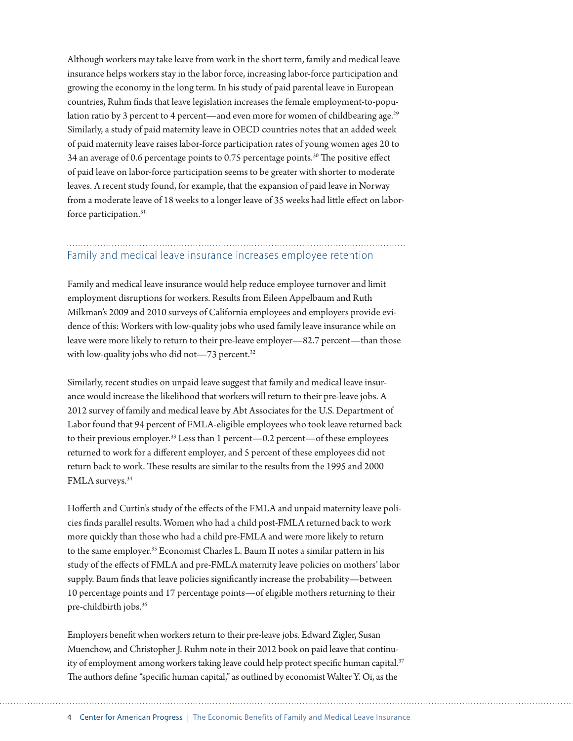Although workers may take leave from work in the short term, family and medical leave insurance helps workers stay in the labor force, increasing labor-force participation and growing the economy in the long term. In his study of paid parental leave in European countries, Ruhm finds that leave legislation increases the female employment-to-population ratio by 3 percent to 4 percent—and even more for women of childbearing age.<sup>29</sup> Similarly, a study of paid maternity leave in OECD countries notes that an added week of paid maternity leave raises labor-force participation rates of young women ages 20 to 34 an average of 0.6 percentage points to 0.75 percentage points.30 The positive effect of paid leave on labor-force participation seems to be greater with shorter to moderate leaves. A recent study found, for example, that the expansion of paid leave in Norway from a moderate leave of 18 weeks to a longer leave of 35 weeks had little effect on laborforce participation.<sup>31</sup>

#### Family and medical leave insurance increases employee retention

Family and medical leave insurance would help reduce employee turnover and limit employment disruptions for workers. Results from Eileen Appelbaum and Ruth Milkman's 2009 and 2010 surveys of California employees and employers provide evidence of this: Workers with low-quality jobs who used family leave insurance while on leave were more likely to return to their pre-leave employer—82.7 percent—than those with low-quality jobs who did not—73 percent.<sup>32</sup>

Similarly, recent studies on unpaid leave suggest that family and medical leave insurance would increase the likelihood that workers will return to their pre-leave jobs. A 2012 survey of family and medical leave by Abt Associates for the U.S. Department of Labor found that 94 percent of FMLA-eligible employees who took leave returned back to their previous employer.<sup>33</sup> Less than 1 percent—0.2 percent—of these employees returned to work for a different employer, and 5 percent of these employees did not return back to work. These results are similar to the results from the 1995 and 2000 FMLA surveys.34

Hofferth and Curtin's study of the effects of the FMLA and unpaid maternity leave policies finds parallel results. Women who had a child post-FMLA returned back to work more quickly than those who had a child pre-FMLA and were more likely to return to the same employer.<sup>35</sup> Economist Charles L. Baum II notes a similar pattern in his study of the effects of FMLA and pre-FMLA maternity leave policies on mothers' labor supply. Baum finds that leave policies significantly increase the probability—between 10 percentage points and 17 percentage points—of eligible mothers returning to their pre-childbirth jobs.36

Employers benefit when workers return to their pre-leave jobs. Edward Zigler, Susan Muenchow, and Christopher J. Ruhm note in their 2012 book on paid leave that continuity of employment among workers taking leave could help protect specific human capital.<sup>37</sup> The authors define "specific human capital," as outlined by economist Walter Y. Oi, as the

4 Center for American Progress | The Economic Benefits of Family and Medical Leave Insurance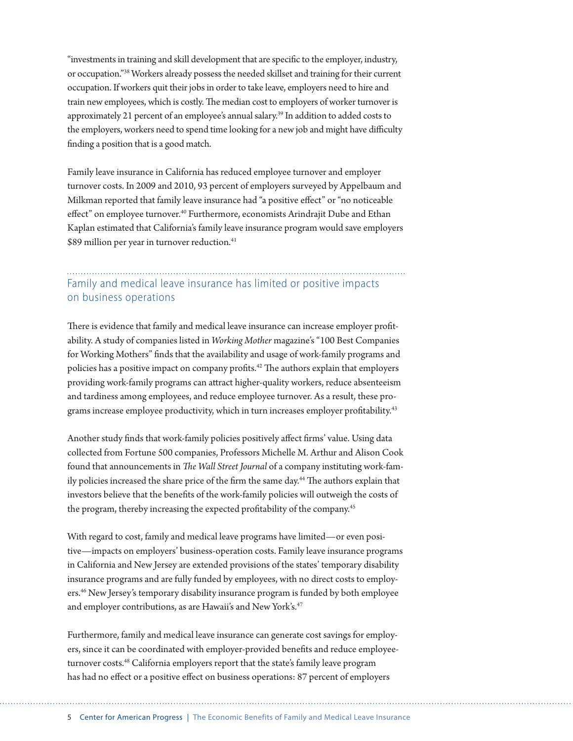"investments in training and skill development that are specific to the employer, industry, or occupation."38 Workers already possess the needed skillset and training for their current occupation. If workers quit their jobs in order to take leave, employers need to hire and train new employees, which is costly. The median cost to employers of worker turnover is approximately 21 percent of an employee's annual salary.39 In addition to added costs to the employers, workers need to spend time looking for a new job and might have difficulty finding a position that is a good match.

Family leave insurance in California has reduced employee turnover and employer turnover costs. In 2009 and 2010, 93 percent of employers surveyed by Appelbaum and Milkman reported that family leave insurance had "a positive effect" or "no noticeable effect" on employee turnover.<sup>40</sup> Furthermore, economists Arindrajit Dube and Ethan Kaplan estimated that California's family leave insurance program would save employers \$89 million per year in turnover reduction.<sup>41</sup>

#### Family and medical leave insurance has limited or positive impacts on business operations

There is evidence that family and medical leave insurance can increase employer profitability. A study of companies listed in *Working Mother* magazine's "100 Best Companies for Working Mothers" finds that the availability and usage of work-family programs and policies has a positive impact on company profits.42 The authors explain that employers providing work-family programs can attract higher-quality workers, reduce absenteeism and tardiness among employees, and reduce employee turnover. As a result, these programs increase employee productivity, which in turn increases employer profitability.43

Another study finds that work-family policies positively affect firms' value. Using data collected from Fortune 500 companies, Professors Michelle M. Arthur and Alison Cook found that announcements in *The Wall Street Journal* of a company instituting work-family policies increased the share price of the firm the same day.<sup>44</sup> The authors explain that investors believe that the benefits of the work-family policies will outweigh the costs of the program, thereby increasing the expected profitability of the company.<sup>45</sup>

With regard to cost, family and medical leave programs have limited—or even positive—impacts on employers' business-operation costs. Family leave insurance programs in California and New Jersey are extended provisions of the states' temporary disability insurance programs and are fully funded by employees, with no direct costs to employers.46 New Jersey's temporary disability insurance program is funded by both employee and employer contributions, as are Hawaii's and New York's.<sup>47</sup>

Furthermore, family and medical leave insurance can generate cost savings for employers, since it can be coordinated with employer-provided benefits and reduce employeeturnover costs.<sup>48</sup> California employers report that the state's family leave program has had no effect or a positive effect on business operations: 87 percent of employers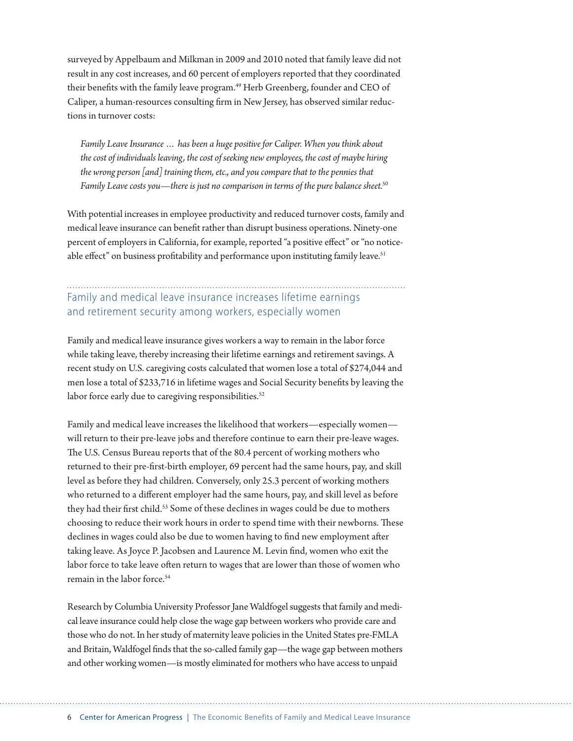surveyed by Appelbaum and Milkman in 2009 and 2010 noted that family leave did not result in any cost increases, and 60 percent of employers reported that they coordinated their benefits with the family leave program.<sup>49</sup> Herb Greenberg, founder and CEO of Caliper, a human-resources consulting firm in New Jersey, has observed similar reductions in turnover costs:

*Family Leave Insurance … has been a huge positive for Caliper. When you think about the cost of individuals leaving, the cost of seeking new employees, the cost of maybe hiring the wrong person [and] training them, etc., and you compare that to the pennies that Family Leave costs you—there is just no comparison in terms of the pure balance sheet.*<sup>50</sup>

With potential increases in employee productivity and reduced turnover costs, family and medical leave insurance can benefit rather than disrupt business operations. Ninety-one percent of employers in California, for example, reported "a positive effect" or "no noticeable effect" on business profitability and performance upon instituting family leave.<sup>51</sup>

### Family and medical leave insurance increases lifetime earnings and retirement security among workers, especially women

Family and medical leave insurance gives workers a way to remain in the labor force while taking leave, thereby increasing their lifetime earnings and retirement savings. A recent study on U.S. caregiving costs calculated that women lose a total of \$274,044 and men lose a total of \$233,716 in lifetime wages and Social Security benefits by leaving the labor force early due to caregiving responsibilities.<sup>52</sup>

Family and medical leave increases the likelihood that workers—especially women will return to their pre-leave jobs and therefore continue to earn their pre-leave wages. The U.S. Census Bureau reports that of the 80.4 percent of working mothers who returned to their pre-first-birth employer, 69 percent had the same hours, pay, and skill level as before they had children. Conversely, only 25.3 percent of working mothers who returned to a different employer had the same hours, pay, and skill level as before they had their first child.<sup>53</sup> Some of these declines in wages could be due to mothers choosing to reduce their work hours in order to spend time with their newborns. These declines in wages could also be due to women having to find new employment after taking leave. As Joyce P. Jacobsen and Laurence M. Levin find, women who exit the labor force to take leave often return to wages that are lower than those of women who remain in the labor force.<sup>54</sup>

Research by Columbia University Professor Jane Waldfogel suggests that family and medical leave insurance could help close the wage gap between workers who provide care and those who do not. In her study of maternity leave policies in the United States pre-FMLA and Britain, Waldfogel finds that the so-called family gap—the wage gap between mothers and other working women—is mostly eliminated for mothers who have access to unpaid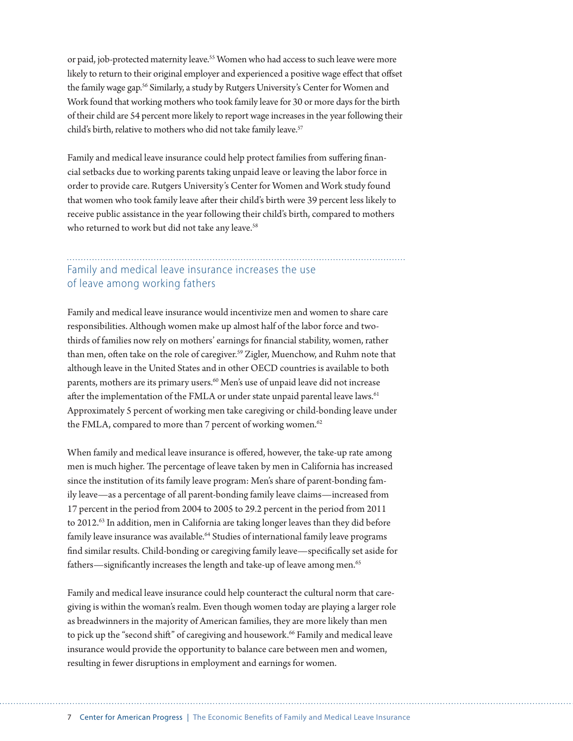or paid, job-protected maternity leave.55 Women who had access to such leave were more likely to return to their original employer and experienced a positive wage effect that offset the family wage gap.<sup>56</sup> Similarly, a study by Rutgers University's Center for Women and Work found that working mothers who took family leave for 30 or more days for the birth of their child are 54 percent more likely to report wage increases in the year following their child's birth, relative to mothers who did not take family leave.<sup>57</sup>

Family and medical leave insurance could help protect families from suffering financial setbacks due to working parents taking unpaid leave or leaving the labor force in order to provide care. Rutgers University's Center for Women and Work study found that women who took family leave after their child's birth were 39 percent less likely to receive public assistance in the year following their child's birth, compared to mothers who returned to work but did not take any leave.<sup>58</sup>

#### Family and medical leave insurance increases the use of leave among working fathers

Family and medical leave insurance would incentivize men and women to share care responsibilities. Although women make up almost half of the labor force and twothirds of families now rely on mothers' earnings for financial stability, women, rather than men, often take on the role of caregiver.<sup>59</sup> Zigler, Muenchow, and Ruhm note that although leave in the United States and in other OECD countries is available to both parents, mothers are its primary users.<sup>60</sup> Men's use of unpaid leave did not increase after the implementation of the FMLA or under state unpaid parental leave laws.<sup>61</sup> Approximately 5 percent of working men take caregiving or child-bonding leave under the FMLA, compared to more than 7 percent of working women. $62$ 

When family and medical leave insurance is offered, however, the take-up rate among men is much higher. The percentage of leave taken by men in California has increased since the institution of its family leave program: Men's share of parent-bonding family leave—as a percentage of all parent-bonding family leave claims—increased from 17 percent in the period from 2004 to 2005 to 29.2 percent in the period from 2011 to 2012.<sup>63</sup> In addition, men in California are taking longer leaves than they did before family leave insurance was available.<sup>64</sup> Studies of international family leave programs find similar results. Child-bonding or caregiving family leave—specifically set aside for fathers—significantly increases the length and take-up of leave among men.<sup>65</sup>

Family and medical leave insurance could help counteract the cultural norm that caregiving is within the woman's realm. Even though women today are playing a larger role as breadwinners in the majority of American families, they are more likely than men to pick up the "second shift" of caregiving and housework.<sup>66</sup> Family and medical leave insurance would provide the opportunity to balance care between men and women, resulting in fewer disruptions in employment and earnings for women.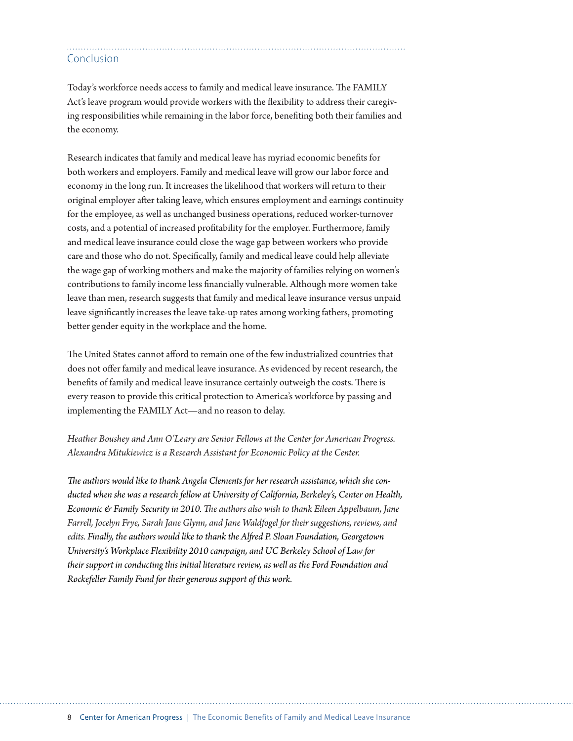#### Conclusion

Today's workforce needs access to family and medical leave insurance. The FAMILY Act's leave program would provide workers with the flexibility to address their caregiving responsibilities while remaining in the labor force, benefiting both their families and the economy.

Research indicates that family and medical leave has myriad economic benefits for both workers and employers. Family and medical leave will grow our labor force and economy in the long run. It increases the likelihood that workers will return to their original employer after taking leave, which ensures employment and earnings continuity for the employee, as well as unchanged business operations, reduced worker-turnover costs, and a potential of increased profitability for the employer. Furthermore, family and medical leave insurance could close the wage gap between workers who provide care and those who do not. Specifically, family and medical leave could help alleviate the wage gap of working mothers and make the majority of families relying on women's contributions to family income less financially vulnerable. Although more women take leave than men, research suggests that family and medical leave insurance versus unpaid leave significantly increases the leave take-up rates among working fathers, promoting better gender equity in the workplace and the home.

The United States cannot afford to remain one of the few industrialized countries that does not offer family and medical leave insurance. As evidenced by recent research, the benefits of family and medical leave insurance certainly outweigh the costs. There is every reason to provide this critical protection to America's workforce by passing and implementing the FAMILY Act—and no reason to delay.

#### *Heather Boushey and Ann O'Leary are Senior Fellows at the Center for American Progress. Alexandra Mitukiewicz is a Research Assistant for Economic Policy at the Center.*

*The authors would like to thank Angela Clements for her research assistance, which she conducted when she was a research fellow at University of California, Berkeley's, Center on Health, Economic & Family Security in 2010. The authors also wish to thank Eileen Appelbaum, Jane Farrell, Jocelyn Frye, Sarah Jane Glynn, and Jane Waldfogel for their suggestions, reviews, and edits. Finally, the authors would like to thank the Alfred P. Sloan Foundation, Georgetown University's Workplace Flexibility 2010 campaign, and UC Berkeley School of Law for their support in conducting this initial literature review, as well as the Ford Foundation and Rockefeller Family Fund for their generous support of this work.*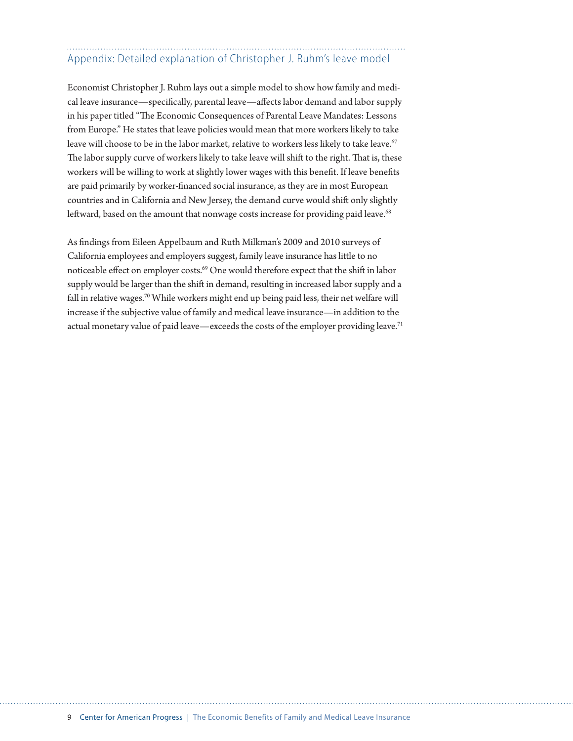## Appendix: Detailed explanation of Christopher J. Ruhm's leave model

Economist Christopher J. Ruhm lays out a simple model to show how family and medical leave insurance—specifically, parental leave—affects labor demand and labor supply in his paper titled "The Economic Consequences of Parental Leave Mandates: Lessons from Europe." He states that leave policies would mean that more workers likely to take leave will choose to be in the labor market, relative to workers less likely to take leave.<sup>67</sup> The labor supply curve of workers likely to take leave will shift to the right. That is, these workers will be willing to work at slightly lower wages with this benefit. If leave benefits are paid primarily by worker-financed social insurance, as they are in most European countries and in California and New Jersey, the demand curve would shift only slightly leftward, based on the amount that nonwage costs increase for providing paid leave.<sup>68</sup>

As findings from Eileen Appelbaum and Ruth Milkman's 2009 and 2010 surveys of California employees and employers suggest, family leave insurance has little to no noticeable effect on employer costs.<sup>69</sup> One would therefore expect that the shift in labor supply would be larger than the shift in demand, resulting in increased labor supply and a fall in relative wages.<sup>70</sup> While workers might end up being paid less, their net welfare will increase if the subjective value of family and medical leave insurance—in addition to the actual monetary value of paid leave—exceeds the costs of the employer providing leave.<sup>71</sup>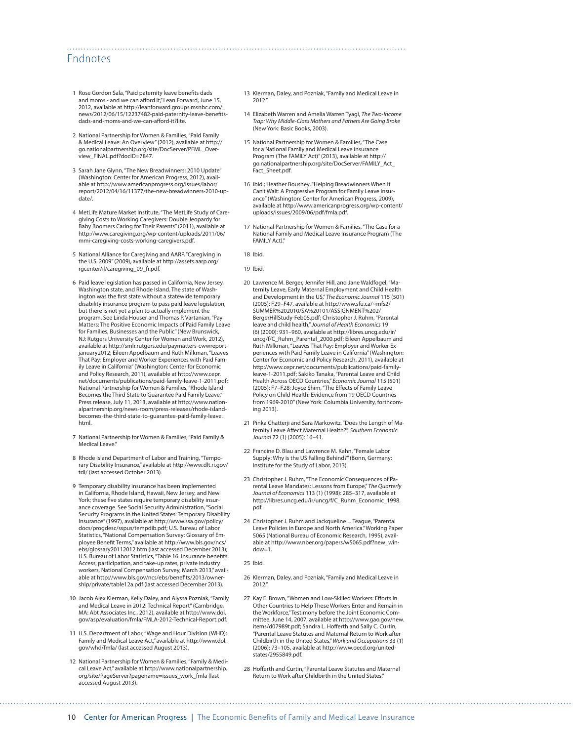#### Endnotes

- 1 Rose Gordon Sala, "Paid paternity leave benefits dads and moms - and we can afford it," Lean Forward, June 15, 2012, available at http://leanforward.groups.msnbc.com/\_ news/2012/06/15/12237482-paid-paternity-leave-benefitsdads-and-moms-and-we-can-afford-it?lite.
- 2 National Partnership for Women & Families, "Paid Family & Medical Leave: An Overview" (2012), available at [http://](http://go.nationalpartnership.org/site/DocServer/PFML_Overview_FINAL.pdf?docID=7847) [go.nationalpartnership.org/site/DocServer/PFML\\_Over](http://go.nationalpartnership.org/site/DocServer/PFML_Overview_FINAL.pdf?docID=7847)[view\\_FINAL.pdf?docID=7847](http://go.nationalpartnership.org/site/DocServer/PFML_Overview_FINAL.pdf?docID=7847).
- 3 Sarah Jane Glynn, "The New Breadwinners: 2010 Update" (Washington: Center for American Progress, 2012), available at [http://www.americanprogress.org/issues/labor/](http://www.americanprogress.org/issues/labor/report/2012/04/16/11377/the-new-breadwinners-2010-update/) [report/2012/04/16/11377/the-new-breadwinners-2010-up](http://www.americanprogress.org/issues/labor/report/2012/04/16/11377/the-new-breadwinners-2010-update/)[date/](http://www.americanprogress.org/issues/labor/report/2012/04/16/11377/the-new-breadwinners-2010-update/).
- 4 MetLife Mature Market Institute, "The MetLife Study of Caregiving Costs to Working Caregivers: Double Jeopardy for Baby Boomers Caring for Their Parents" (2011), available at [http://www.caregiving.org/wp-content/uploads/2011/06/](http://www.caregiving.org/wp-content/uploads/2011/06/mmi-caregiving-costs-working-caregivers.pdf) [mmi-caregiving-costs-working-caregivers.pdf.](http://www.caregiving.org/wp-content/uploads/2011/06/mmi-caregiving-costs-working-caregivers.pdf)
- 5 National Alliance for Caregiving and AARP, "Caregiving in the U.S. 2009" (2009), available at [http://assets.aarp.org/](http://assets.aarp.org/rgcenter/il/caregiving_09_fr.pdf) [rgcenter/il/caregiving\\_09\\_fr.pdf](http://assets.aarp.org/rgcenter/il/caregiving_09_fr.pdf).
- 6 Paid leave legislation has passed in California, New Jersey, Washington state, and Rhode Island. The state of Washington was the first state without a statewide temporary disability insurance program to pass paid leave legislation, but there is not yet a plan to actually implement the program. See Linda Houser and Thomas P. Vartanian, "Pay Matters: The Positive Economic Impacts of Paid Family Leave for Families, Businesses and the Public" (New Brunswick, NJ: Rutgers University Center for Women and Work, 2012), available at [http://smlr.rutgers.edu/paymatters-cwwreport](http://smlr.rutgers.edu/paymatters-cwwreport-january2012)[january2012;](http://smlr.rutgers.edu/paymatters-cwwreport-january2012) Eileen Appelbaum and Ruth Milkman, "Leaves That Pay: Employer and Worker Experiences with Paid Family Leave in California" (Washington: Center for Economic and Policy Research, 2011), available at [http://www.cepr.](http://www.cepr.net/documents/publications/paid-family-leave-1-2011.pdf) [net/documents/publications/paid-family-leave-1-2011.pdf](http://www.cepr.net/documents/publications/paid-family-leave-1-2011.pdf); National Partnership for Women & Families, "Rhode Island Becomes the Third State to Guarantee Paid Family Leave, Press release, July 11, 2013, available at http://www.nationalpartnership.org/news-room/press-releases/rhode-islandbecomes-the-third-state-to-guarantee-paid-family-leave. html.
- 7 National Partnership for Women & Families, "Paid Family & Medical Leave."
- 8 Rhode Island Department of Labor and Training, "Temporary Disability Insurance," available at [http://www.dlt.ri.gov/](http://www.dlt.ri.gov/tdi/) [tdi/](http://www.dlt.ri.gov/tdi/) (last accessed October 2013).
- 9 Temporary disability insurance has been implemented in California, Rhode Island, Hawaii, New Jersey, and New York; these five states require temporary disability insurance coverage. See Social Security Administration, "Social Security Programs in the United States: Temporary Disability Insurance" (1997), available at [http://www.ssa.gov/policy/](http://www.ssa.gov/policy/docs/progdesc/sspus/tempdib.pdf) [docs/progdesc/sspus/tempdib.pdf;](http://www.ssa.gov/policy/docs/progdesc/sspus/tempdib.pdf) U.S. Bureau of Labor Statistics, "National Compensation Survey: Glossary of Employee Benefit Terms," available at [http://www.bls.gov/ncs/](http://www.bls.gov/ncs/ebs/glossary20112012.htm) [ebs/glossary20112012.htm](http://www.bls.gov/ncs/ebs/glossary20112012.htm) (last accessed December 2013); U.S. Bureau of Labor Statistics, "Table 16. Insurance benefits: Access, participation, and take-up rates, private industry workers, National Compensation Survey, March 2013," available at [http://www.bls.gov/ncs/ebs/benefits/2013/owner](http://www.bls.gov/ncs/ebs/benefits/2013/ownership/private/table12a.pdf)[ship/private/table12a.pdf](http://www.bls.gov/ncs/ebs/benefits/2013/ownership/private/table12a.pdf) (last accessed December 2013).
- 10 Jacob Alex Klerman, Kelly Daley, and Alyssa Pozniak, "Family and Medical Leave in 2012: Technical Report" (Cambridge, MA: Abt Associates Inc., 2012), available at http://www.dol. gov/asp/evaluation/fmla/FMLA-2012-Technical-Report.pdf.
- 11 U.S. Department of Labor, "Wage and Hour Division (WHD): Family and Medical Leave Act," available at [http://www.dol.](http://www.dol.gov/whd/fmla/) [gov/whd/fmla/](http://www.dol.gov/whd/fmla/) (last accessed August 2013).
- 12 National Partnership for Women & Families, "Family & Medical Leave Act," available at [http://www.nationalpartnership.](http://www.nationalpartnership.org/site/PageServer?pagename=issues_work_fmla) [org/site/PageServer?pagename=issues\\_work\\_fmla](http://www.nationalpartnership.org/site/PageServer?pagename=issues_work_fmla) (last accessed August 2013).
- 13 Klerman, Daley, and Pozniak, "Family and Medical Leave in 2012."
- 14 Elizabeth Warren and Amelia Warren Tyagi, *The Two-Income Trap: Why Middle-Class Mothers and Fathers Are Going Broke* (New York: Basic Books, 2003).
- 15 National Partnership for Women & Families, "The Case for a National Family and Medical Leave Insurance Program (The FAMILY Act)" (2013), available at http:// go.nationalpartnership.org/site/DocServer/FAMILY\_Act\_ Fact\_Sheet.pdf.
- 16 Ibid.; Heather Boushey, "Helping Breadwinners When It Can't Wait: A Progressive Program for Family Leave Insurance" (Washington: Center for American Progress, 2009), available at [http://www.americanprogress.org/wp-content/](http://www.americanprogress.org/wp-content/uploads/issues/2009/06/pdf/fmla.pdf) [uploads/issues/2009/06/pdf/fmla.pdf.](http://www.americanprogress.org/wp-content/uploads/issues/2009/06/pdf/fmla.pdf)
- 17 National Partnership for Women & Families, "The Case for a National Family and Medical Leave Insurance Program (The FAMILY Act)"

18 Ibid.

19 Ibid.

- 20 Lawrence M. Berger, Jennifer Hill, and Jane Waldfogel, "Maternity Leave, Early Maternal Employment and Child Health and Development in the US," *The Economic Journal* 115 (501) (2005): F29–F47, available at [http://www.sfu.ca/~mfs2/](http://www.sfu.ca/~mfs2/SUMMER%202010/SA%20101/ASSIGNMENT%202/BergerHillStudy-Feb05.pdf) [SUMMER%202010/SA%20101/ASSIGNMENT%202/](http://www.sfu.ca/~mfs2/SUMMER%202010/SA%20101/ASSIGNMENT%202/BergerHillStudy-Feb05.pdf) [BergerHillStudy-Feb05.pdf](http://www.sfu.ca/~mfs2/SUMMER%202010/SA%20101/ASSIGNMENT%202/BergerHillStudy-Feb05.pdf); Christopher J. Ruhm, "Parental leave and child health," *Journal of Health Economics* 19 (6) (2000): 931–960, available at [http://libres.uncg.edu/ir/](http://libres.uncg.edu/ir/uncg/f/C_Ruhm_Parental_2000.pdf) [uncg/f/C\\_Ruhm\\_Parental\\_2000.pdf](http://libres.uncg.edu/ir/uncg/f/C_Ruhm_Parental_2000.pdf); Eileen Appelbaum and Ruth Milkman, "Leaves That Pay: Employer and Worker Experiences with Paid Family Leave in California" (Washington: Center for Economic and Policy Research, 2011), available at [http://www.cepr.net/documents/publications/paid-family](http://www.cepr.net/documents/publications/paid-family-leave-1-2011.pdf)[leave-1-2011.pdf](http://www.cepr.net/documents/publications/paid-family-leave-1-2011.pdf); Sakiko Tanaka, "Parental Leave and Child Health Across OECD Countries," *Economic Journal* 115 (501) (2005): F7–F28; Joyce Shim, "The Effects of Family Leave Policy on Child Health: Evidence from 19 OECD Countries from 1969-2010" (New York: Columbia University, forthcoming 2013).
- 21 Pinka Chatterii and Sara Markowitz, "Does the Length of Maternity Leave Affect Maternal Health?", *Southern Economic Journal* 72 (1) (2005): 16–41.
- 22 Francine D. Blau and Lawrence M. Kahn, "Female Labor Supply: Why is the US Falling Behind?" (Bonn, Germany: Institute for the Study of Labor, 2013).
- 23 Christopher J. Ruhm, "The Economic Consequences of Parental Leave Mandates: Lessons from Europe," *The Quarterly Journal of Economics* 113 (1) (1998): 285–317, available at [http://libres.uncg.edu/ir/uncg/f/C\\_Ruhm\\_Economic\\_1998.](http://libres.uncg.edu/ir/uncg/f/C_Ruhm_Economic_1998.pdf) [pdf](http://libres.uncg.edu/ir/uncg/f/C_Ruhm_Economic_1998.pdf).
- 24 Christopher J. Ruhm and Jackqueline L. Teague, "Parental Leave Policies in Europe and North America." Working Paper 5065 (National Bureau of Economic Research, 1995), available at [http://www.nber.org/papers/w5065.pdf?new\\_win](http://www.nber.org/papers/w5065.pdf?new_window=1) $down=1$

- 26 Klerman, Daley, and Pozniak, "Family and Medical Leave in 2012."
- 27 Kay E. Brown, "Women and Low-Skilled Workers: Efforts in Other Countries to Help These Workers Enter and Remain in the Workforce," Testimony before the Joint Economic Committee, June 14, 2007, available at [http://www.gao.gov/new.](http://www.gao.gov/new.items/d07989t.pdf) [items/d07989t.pdf;](http://www.gao.gov/new.items/d07989t.pdf) Sandra L. Hofferth and Sally C. Curtin, "Parental Leave Statutes and Maternal Return to Work after Childbirth in the United States," *Work and Occupations* 33 (1) (2006): 73–105, available at [http://www.oecd.org/united](http://www.oecd.org/unitedstates/2955849.pdf)[states/2955849.pdf](http://www.oecd.org/unitedstates/2955849.pdf).
- 28 Hofferth and Curtin, "Parental Leave Statutes and Maternal Return to Work after Childbirth in the United States."

<sup>25</sup> Ibid.